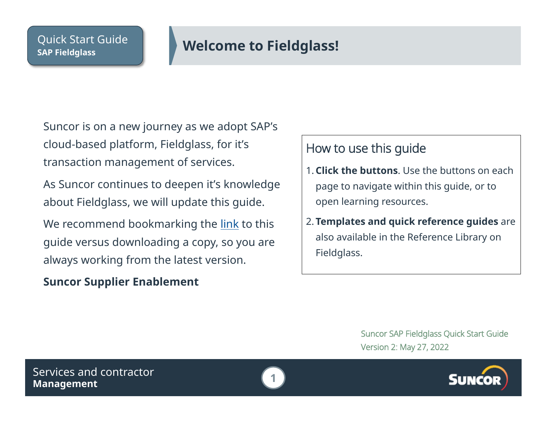# <span id="page-0-0"></span>**SAP Fieldglass Welcome to Fieldglass!**

Suncor is on a new journey as we adopt SAP's cloud-based platform, Fieldglass, for it's transaction management of services.

As Suncor continues to deepen it's knowledge about Fieldglass, we will update this guide.

We recommend bookmarking the [link](https://sustainability-prd-cdn.suncor.com/-/media/project/suncor/files/northern-lights-sustainment/suppliers-sap-fieldglass/sap-fieldglass-quick-start-guide-en.pdf) to this guide versus downloading a copy, so you are always working from the latest version.

## **Suncor Supplier Enablement**

## How to use this guide

- 1. **Click the buttons**. Use the buttons on each page to navigate within this guide, or to open learning resources.
- 2. **Templates and quick reference guides** are also available in the Reference Library on Fieldglass.

Suncor SAP Fieldglass Quick Start Guide Version 2: May 27, 2022



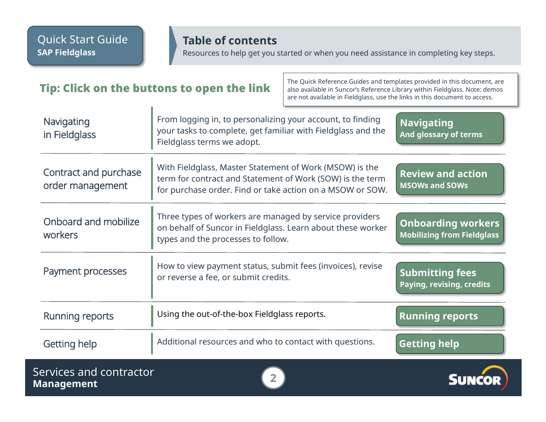**Management 2**

### **Table of contents**

Resources to help get you started or when you need assistance in completing key steps.

#### <span id="page-1-0"></span>The Quick Reference Guides and templates provided in this document, are<br>also available in Suncor's Reference Library within Fieldglass. Note: demos also available in Suncor's Reference Library within Fieldglass. Note: demos are not available in Fieldglass, use the links in this document to access. **Navigating [And glossary of terms](#page-2-0) Navigating** in Fieldglass From logging in, to personalizing your account, to finding your tasks to complete, get familiar with Fieldglass and the Fieldglass terms we adopt. Contract and purchase order management With Fieldglass, Master Statement of Work (MSOW) is the term for contract and Statement of Work (SOW) is the term for purchase order. Find or take action on a MSOW or SOW. **[Review and action](#page-3-0) MSOWs and SOWs** Onboard and mobilize workers Three types of workers are managed by service providers on behalf of Suncor in Fieldglass. Learn about these worker types and the processes to follow. **[Onboarding workers](#page-4-0) Mobilizing from Fieldglass** Payment processes How to view payment status, submit fees (invoices), revise or reverse a fee, or submit credits. **[Submitting fees](#page-10-0) Paying, revising, credits** [Running reports](#page-11-0) **Using the out-of-the-box Fieldglass reports. Running reports** [Getting help](#page-12-0) **Additional resources and who to contact with questions.** Getting help Services and contractor

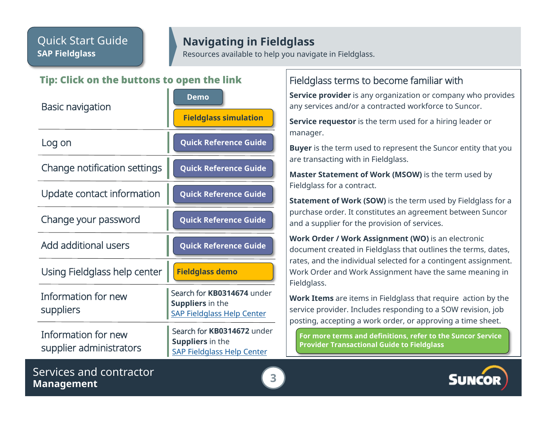## **Navigating in Fieldglass**

Resources available to help you navigate in Fieldglass.

#### <span id="page-2-0"></span>Tip: Click on the buttons to open the link

| <b>Basic navigation</b>                        | <b>Demo</b>                                                                                |
|------------------------------------------------|--------------------------------------------------------------------------------------------|
|                                                | <b>Fieldglass simulation</b>                                                               |
| Log on                                         | <b>Quick Reference Guide</b>                                                               |
| Change notification settings                   | <b>Quick Reference Guide</b>                                                               |
| Update contact information                     | <b>Quick Reference Guide</b>                                                               |
| Change your password                           | <b>Quick Reference Guide</b>                                                               |
| <b>Add additional users</b>                    | <b>Quick Reference Guide</b>                                                               |
| Using Fieldglass help center                   | <b>Fieldglass demo</b>                                                                     |
| Information for new<br>suppliers               | Search for KB0314674 under<br>Suppliers in the<br><b>SAP Fieldglass Help Center</b>        |
| Information for new<br>supplier administrators | Search for KB0314672 under<br><b>Suppliers in the</b><br><b>SAP Fieldglass Help Center</b> |

### Fieldglass terms to become familiar with

**Service provider** is any organization or company who provides any services and/or a contracted workforce to Suncor.

**Service requestor** is the term used for a hiring leader or manager.

**Buyer** is the term used to represent the Suncor entity that you are transacting with in Fieldglass.

**Master Statement of Work (MSOW)** is the term used by Fieldglass for a contract.

**Statement of Work (SOW)** is the term used by Fieldglass for a purchase order. It constitutes an agreement between Suncor and a supplier for the provision of services.

**Work Order / Work Assignment (WO)** is an electronic document created in Fieldglass that outlines the terms, dates, rates, and the individual selected for a contingent assignment. Work Order and Work Assignment have the same meaning in Fieldglass.

**Work Items** are items in Fieldglass that require action by the service provider. Includes responding to a SOW revision, job posting, accepting a work order, or approving a time sheet.

**[For more terms and definitions, refer to the Suncor Service](https://sustainability-prd-cdn.suncor.com/-/media/project/suncor/files/northern-lights-sustainment/suppliers-sap-fieldglass/suncor-service-provider-transactional-guide-en.pdf)  Provider Transactional Guide to Fieldglass**



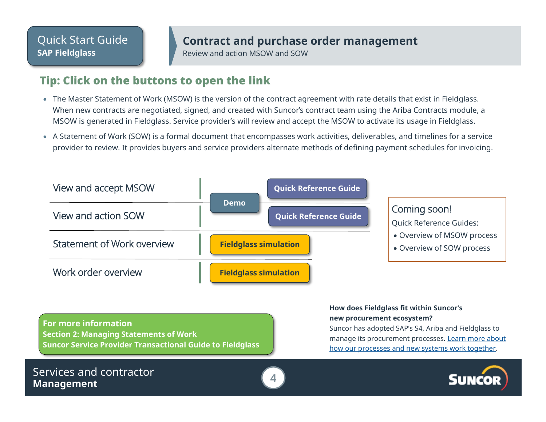## **Contract and purchase order management**

Review and action MSOW and SOW

### <span id="page-3-0"></span>Tip: Click on the buttons to open the link

- The Master Statement of Work (MSOW) is the version of the contract agreement with rate details that exist in Fieldglass. When new contracts are negotiated, signed, and created with Suncor's contract team using the Ariba Contracts module, a MSOW is generated in Fieldglass. Service provider's will review and accept the MSOW to activate its usage in Fieldglass.
- A Statement of Work (SOW) is a formal document that encompasses work activities, deliverables, and timelines for a service provider to review. It provides buyers and service providers alternate methods of defining payment schedules for invoicing.

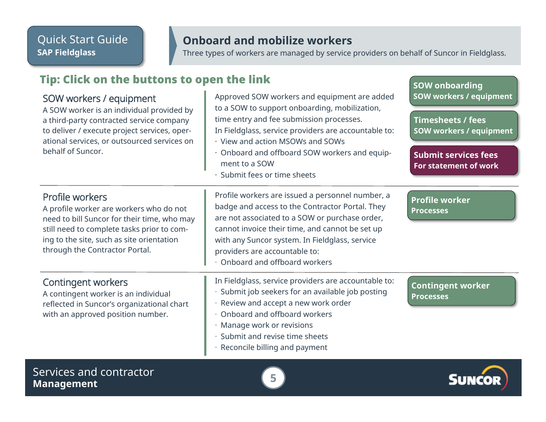## **Onboard and mobilize workers**

Three types of workers are managed by service providers on behalf of Suncor in Fieldglass.

## <span id="page-4-0"></span>Tip: Click on the buttons to open the link

#### SOW workers / equipment

A SOW worker is an individual provided by a third-party contracted service company to deliver / execute project services, operational services, or outsourced services on behalf of Suncor.

#### Approved SOW workers and equipment are added to a SOW to support onboarding, mobilization, time entry and fee submission processes. In Fieldglass, service providers are accountable to: · View and action MSOWs and SOWs · Onboard and offboard SOW workers and equipment to a SOW · Submit fees or time sheets Profile workers are issued a personnel number, a badge and access to the Contractor Portal. They are not associated to a SOW or purchase order, **[SOW workers / equipment](#page-5-0) Timesheets / fees [SOW workers / equipment](#page-6-0) [Submit services fees](#page-7-0) For statement of work**

cannot invoice their time, and cannot be set up with any Suncor system. In Fieldglass, service

In Fieldglass, service providers are accountable to: · Submit job seekers for an available job posting

**[Profile worker](#page-8-0) Processes**

A profile worker are workers who do not need to bill Suncor for their time, who may still need to complete tasks prior to coming to the site, such as site orientation through the Contractor Portal.

#### Contingent workers

Profile workers

A contingent worker is an individual reflected in Suncor's organizational chart with an approved position number.

- Review and accept a new work order
- · Onboard and offboard workers

providers are accountable to: · Onboard and offboard workers

- · Manage work or revisions
- · Submit and revise time sheets
- Reconcile billing and payment

**[Contingent worker](#page-9-0) Processes**

**SOW onboarding**

Services and contractor **Management 5**



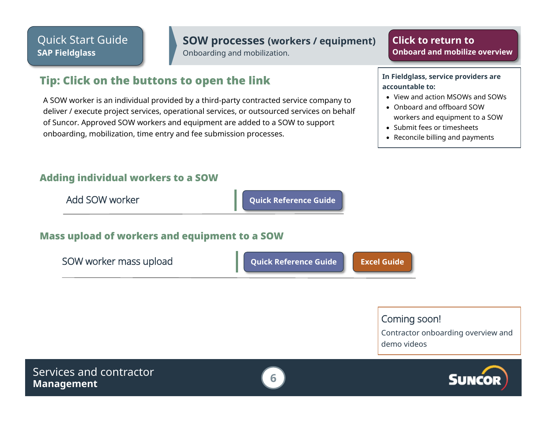#### **SOW processes (workers / equipment)**

Onboarding and mobilization.

#### **Click to return to [Onboard and mobilize overview](#page-4-0)**

### <span id="page-5-0"></span>Tip: Click on the buttons to open the link

A SOW worker is an individual provided by a third-party contracted service company to deliver / execute project services, operational services, or outsourced services on behalf of Suncor. Approved SOW workers and equipment are added to a SOW to support onboarding, mobilization, time entry and fee submission processes.

#### Adding individual workers to a SOW



**In Fieldglass, service providers are accountable to:**

- View and action MSOWs and SOWs
- Onboard and offboard SOW workers and equipment to a SOW
- Submit fees or timesheets
- Reconcile billing and payments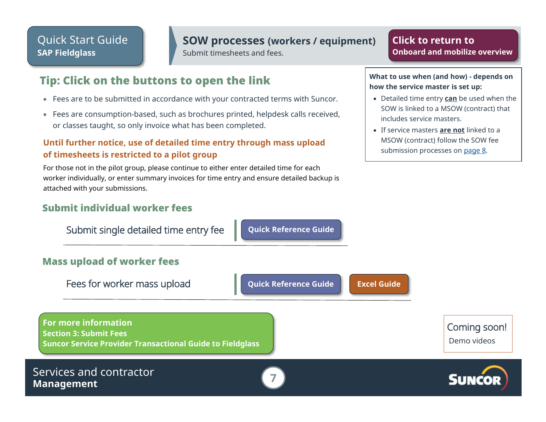#### **SOW processes (workers / equipment)**

Submit timesheets and fees.

Fees for worker mass upload **[Quick Reference Guide](https://sustainability-prd-cdn.suncor.com/-/media/project/suncor/files/northern-lights-sustainment/suppliers-sap-fieldglass/qrg-mass-upload-for-fee-submission-as-a-suncor-service-provider-sap-fieldglass-en) [Excel Guide](https://sustainability-prd-cdn.suncor.com/-/media/project/suncor/files/northern-lights-sustainment/suppliers-sap-fieldglass/mass-upload-template-guide-fieldglass-en)**

### <span id="page-6-0"></span>Tip: Click on the buttons to open the link

- Fees are to be submitted in accordance with your contracted terms with Suncor.
- Fees are consumption-based, such as brochures printed, helpdesk calls received, or classes taught, so only invoice what has been completed.

#### **Until further notice, use of detailed time entry through mass upload of timesheets is restricted to a pilot group**

For those not in the pilot group, please continue to either enter detailed time for each worker individually, or enter summary invoices for time entry and ensure detailed backup is attached with your submissions.

#### Submit individual worker fees

Submit single detailed time entry fee **[Quick Reference Guide](https://sustainability-prd-cdn.suncor.com/-/media/project/suncor/files/northern-lights-sustainment/suppliers-sap-fieldglass/suncor-qrg-submitting-a-single-detailed-time-entry-fee-as-suncor-service-provider-sap-fieldglass-en)** 

#### Mass upload of worker fees

**For more information Section 3: Submit Fees**

**[Suncor Service Provider Transactional Guide to Fieldglass](https://sustainability-prd-cdn.suncor.com/-/media/project/suncor/files/northern-lights-sustainment/suppliers-sap-fieldglass/suncor-service-provider-transactional-guide-en.pdf)**

#### Services and contractor **Management 7**

**how the service master is set up:** • Detailed time entry **can** be used when the

SOW is linked to a MSOW (contract) that includes service masters.

**What to use when (and how) - depends on** 

**Click to return to**

• If service masters **are not** linked to a MSOW (contract) follow the SOW fee submission processes on [page 8.](#page-7-0)



Coming soon! Demo videos

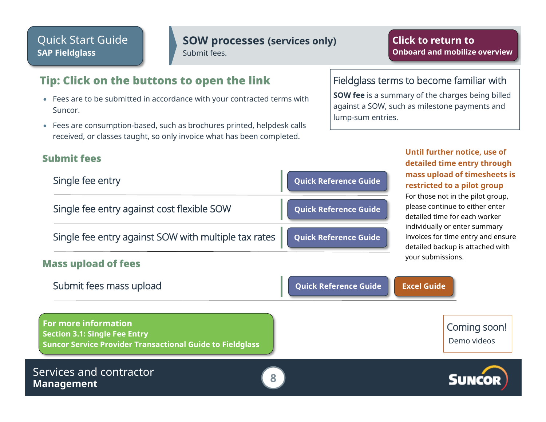#### **SOW processes (services only)**

Submit fees.

### <span id="page-7-0"></span>Tip: Click on the buttons to open the link

- Fees are to be submitted in accordance with your contracted terms with Suncor.
- Fees are consumption-based, such as brochures printed, helpdesk calls received, or classes taught, so only invoice what has been completed.

#### Submit fees

Mass upload of fees

| Single fee entry                                                                  | Quick Reference Guide |
|-----------------------------------------------------------------------------------|-----------------------|
| Single fee entry against cost flexible SOW                                        | Quick Reference Guide |
| Single fee entry against SOW with multiple tax rates $\int$ Quick Reference Guide |                       |

#### Fieldglass terms to become familiar with

**SOW fee** is a summary of the charges being billed against a SOW, such as milestone payments and lump-sum entries.

#### **Until further notice, use of detailed time entry through mass upload of timesheets is restricted to a pilot group**  For those not in the pilot group, please continue to either enter detailed time for each worker individually or enter summary invoices for time entry and ensure

detailed backup is attached with

your submissions.

| Submit fees mass upload                                                                                                   | <b>Quick Reference Guide</b><br><b>Excel Guide</b> |                             |
|---------------------------------------------------------------------------------------------------------------------------|----------------------------------------------------|-----------------------------|
| <b>For more information</b><br>Section 3.1: Single Fee Entry<br>Suncor Service Provider Transactional Guide to Fieldglass |                                                    | Coming soon!<br>Demo videos |
| Services and contractor<br><b>Management</b>                                                                              |                                                    | <b>SUNCOR</b>               |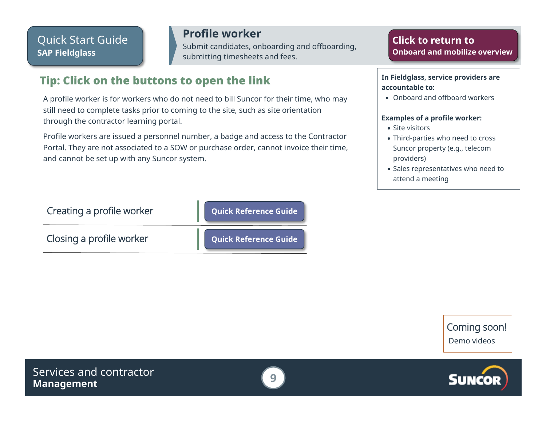**Profile worker** Submit candidates, onboarding and offboarding, submitting timesheets and fees.

## <span id="page-8-0"></span>Tip: Click on the buttons to open the link

A profile worker is for workers who do not need to bill Suncor for their time, who may still need to complete tasks prior to coming to the site, such as site orientation through the contractor learning portal.

Profile workers are issued a personnel number, a badge and access to the Contractor Portal. They are not associated to a SOW or purchase order, cannot invoice their time, and cannot be set up with any Suncor system.

| Click to return to            |  |  |
|-------------------------------|--|--|
| Onboard and mobilize overview |  |  |

#### **In Fieldglass, service providers are accountable to:**

• Onboard and offboard workers

#### **Examples of a profile worker:**

- Site visitors
- Third-parties who need to cross Suncor property (e.g., telecom providers)
- Sales representatives who need to attend a meeting

| Creating a profile worker | Quick Reference Guide        |
|---------------------------|------------------------------|
| Closing a profile worker  | <b>Quick Reference Guide</b> |

Coming soon! Demo videos



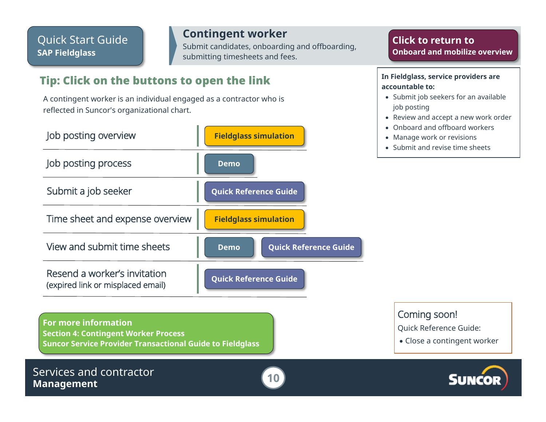**Contingent worker** Submit candidates, onboarding and offboarding, submitting timesheets and fees.

## <span id="page-9-0"></span>Tip: Click on the buttons to open the link

A contingent worker is an individual engaged as a contractor who is reflected in Suncor's organizational chart.



**For more information Section 4: Contingent Worker Process [Suncor Service Provider Transactional Guide to Fieldglass](https://sustainability-prd-cdn.suncor.com/-/media/project/suncor/files/northern-lights-sustainment/suppliers-sap-fieldglass/suncor-service-provider-transactional-guide-en.pdf)**



**Click to return to [Onboard and mobilize overview](#page-4-0)**

#### **In Fieldglass, service providers are accountable to:**

- Submit job seekers for an available job posting
- Review and accept a new work order
- Onboard and offboard workers
- Manage work or revisions
- Submit and revise time sheets

Coming soon!

Quick Reference Guide:

• Close a contingent worker

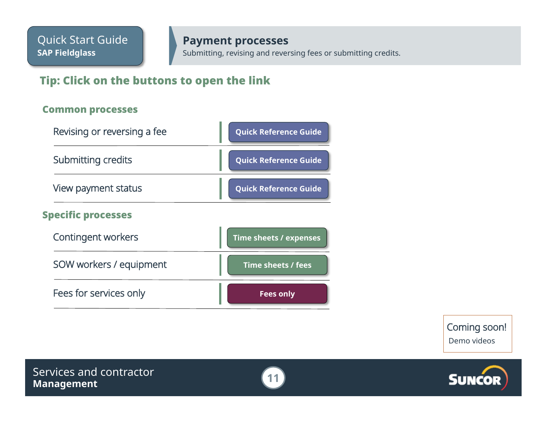Submitting, revising and reversing fees or submitting credits.

## <span id="page-10-0"></span>Tip: Click on the buttons to open the link

#### Common processes



Coming soon! Demo videos



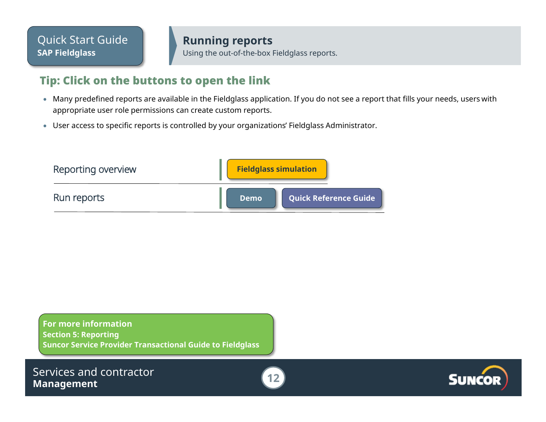**Running reports** Using the out-of-the-box Fieldglass reports.

### <span id="page-11-0"></span>Tip: Click on the buttons to open the link

- Many predefined reports are available in the Fieldglass application. If you do not see a report that fills your needs, users with appropriate user role permissions can create custom reports.
- User access to specific reports is controlled by your organizations' Fieldglass Administrator.

| Reporting overview | <b>Fieldglass simulation</b> |                              |
|--------------------|------------------------------|------------------------------|
| Run reports        | <b>Demo</b>                  | <b>Quick Reference Guide</b> |

**For more information Section 5: Reporting [Suncor Service Provider Transactional Guide to Fieldglass](https://sustainability-prd-cdn.suncor.com/-/media/project/suncor/files/northern-lights-sustainment/suppliers-sap-fieldglass/suncor-service-provider-transactional-guide-en.pdf)**